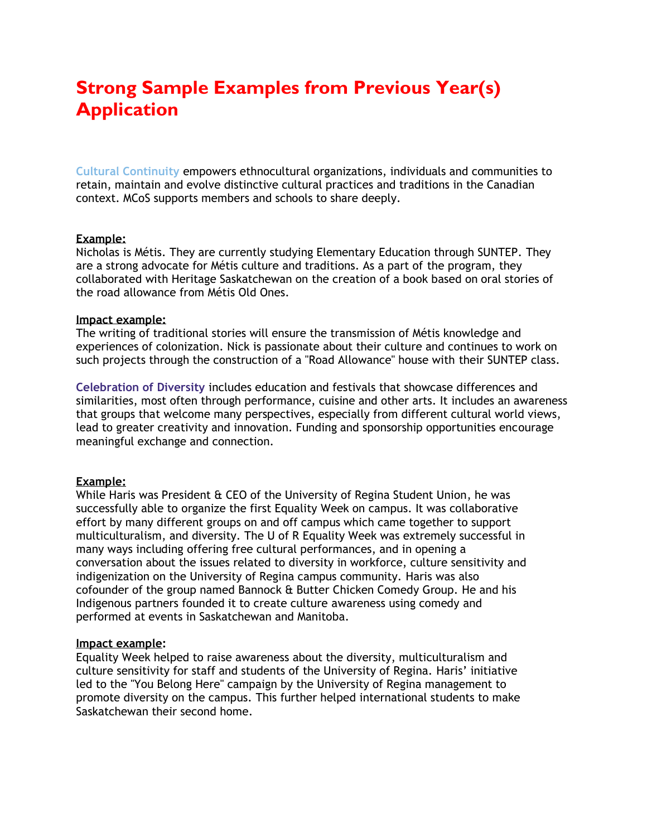# **Strong Sample Examples from Previous Year(s) Application**

**Cultural Continuity** empowers ethnocultural organizations, individuals and communities to retain, maintain and evolve distinctive cultural practices and traditions in the Canadian context. MCoS supports members and schools to share deeply.

### **Example:**

Nicholas is Métis. They are currently studying Elementary Education through SUNTEP. They are a strong advocate for Métis culture and traditions. As a part of the program, they collaborated with Heritage Saskatchewan on the creation of a book based on oral stories of the road allowance from Métis Old Ones.

### **Impact example:**

The writing of traditional stories will ensure the transmission of Métis knowledge and experiences of colonization. Nick is passionate about their culture and continues to work on such projects through the construction of a "Road Allowance" house with their SUNTEP class.

**Celebration of Diversity** includes education and festivals that showcase differences and similarities, most often through performance, cuisine and other arts. It includes an awareness that groups that welcome many perspectives, especially from different cultural world views, lead to greater creativity and innovation. Funding and sponsorship opportunities encourage meaningful exchange and connection.

## **Example:**

While Haris was President & CEO of the University of Regina Student Union, he was successfully able to organize the first Equality Week on campus. It was collaborative effort by many different groups on and off campus which came together to support multiculturalism, and diversity. The U of R Equality Week was extremely successful in many ways including offering free cultural performances, and in opening a conversation about the issues related to diversity in workforce, culture sensitivity and indigenization on the University of Regina campus community. Haris was also cofounder of the group named Bannock & Butter Chicken Comedy Group. He and his Indigenous partners founded it to create culture awareness using comedy and performed at events in Saskatchewan and Manitoba.

## **Impact example:**

Equality Week helped to raise awareness about the diversity, multiculturalism and culture sensitivity for staff and students of the University of Regina. Haris' initiative led to the "You Belong Here" campaign by the University of Regina management to promote diversity on the campus. This further helped international students to make Saskatchewan their second home.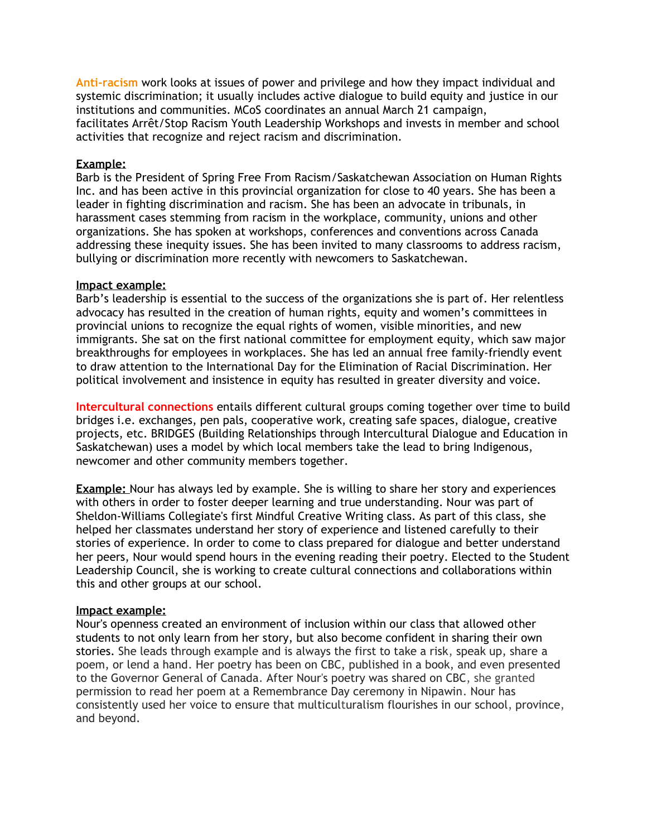**Anti-racism** work looks at issues of power and privilege and how they impact individual and systemic discrimination; it usually includes active dialogue to build equity and justice in our institutions and communities. MCoS coordinates an annual March 21 campaign, facilitates Arrêt/Stop Racism Youth Leadership Workshops and invests in member and school activities that recognize and reject racism and discrimination.

#### **Example:**

Barb is the President of Spring Free From Racism/Saskatchewan Association on Human Rights Inc. and has been active in this provincial organization for close to 40 years. She has been a leader in fighting discrimination and racism. She has been an advocate in tribunals, in harassment cases stemming from racism in the workplace, community, unions and other organizations. She has spoken at workshops, conferences and conventions across Canada addressing these inequity issues. She has been invited to many classrooms to address racism, bullying or discrimination more recently with newcomers to Saskatchewan.

### **Impact example:**

Barb's leadership is essential to the success of the organizations she is part of. Her relentless advocacy has resulted in the creation of human rights, equity and women's committees in provincial unions to recognize the equal rights of women, visible minorities, and new immigrants. She sat on the first national committee for employment equity, which saw major breakthroughs for employees in workplaces. She has led an annual free family-friendly event to draw attention to the International Day for the Elimination of Racial Discrimination. Her political involvement and insistence in equity has resulted in greater diversity and voice.

**Intercultural connections** entails different cultural groups coming together over time to build bridges i.e. exchanges, pen pals, cooperative work, creating safe spaces, dialogue, creative projects, etc. BRIDGES (Building Relationships through Intercultural Dialogue and Education in Saskatchewan) uses a model by which local members take the lead to bring Indigenous, newcomer and other community members together.

**Example:** Nour has always led by example. She is willing to share her story and experiences with others in order to foster deeper learning and true understanding. Nour was part of Sheldon-Williams Collegiate's first Mindful Creative Writing class. As part of this class, she helped her classmates understand her story of experience and listened carefully to their stories of experience. In order to come to class prepared for dialogue and better understand her peers, Nour would spend hours in the evening reading their poetry. Elected to the Student Leadership Council, she is working to create cultural connections and collaborations within this and other groups at our school.

#### **Impact example:**

Nour's openness created an environment of inclusion within our class that allowed other students to not only learn from her story, but also become confident in sharing their own stories. She leads through example and is always the first to take a risk, speak up, share a poem, or lend a hand. Her poetry has been on CBC, published in a book, and even presented to the Governor General of Canada. After Nour's poetry was shared on CBC, she granted permission to read her poem at a Remembrance Day ceremony in Nipawin. Nour has consistently used her voice to ensure that multiculturalism flourishes in our school, province, and beyond.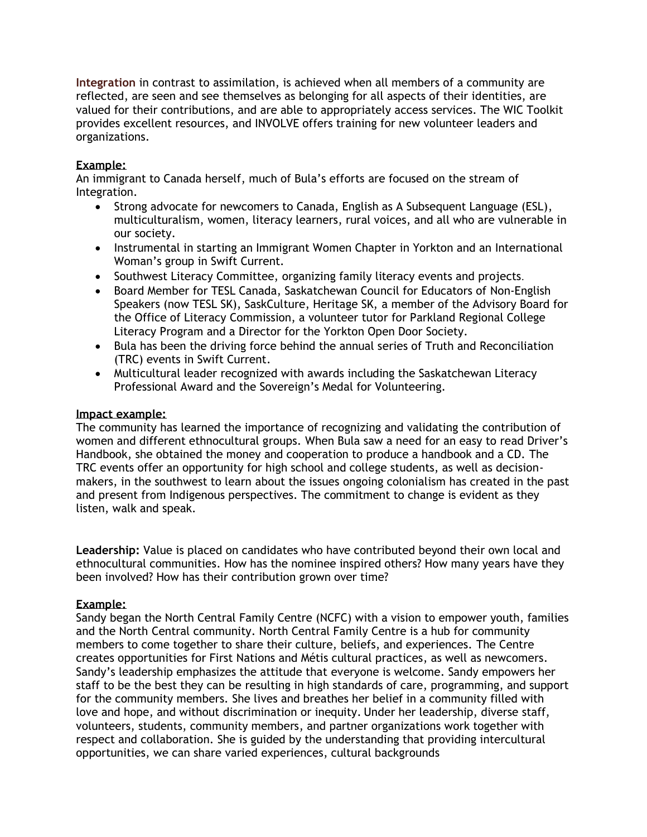**Integration** in contrast to assimilation, is achieved when all members of a community are reflected, are seen and see themselves as belonging for all aspects of their identities, are valued for their contributions, and are able to appropriately access services. The WIC Toolkit provides excellent resources, and INVOLVE offers training for new volunteer leaders and organizations.

# **Example:**

An immigrant to Canada herself, much of Bula's efforts are focused on the stream of Integration.

- Strong advocate for newcomers to Canada, English as A Subsequent Language (ESL), multiculturalism, women, literacy learners, rural voices, and all who are vulnerable in our society.
- Instrumental in starting an Immigrant Women Chapter in Yorkton and an International Woman's group in Swift Current.
- Southwest Literacy Committee, organizing family literacy events and projects.
- Board Member for TESL Canada, Saskatchewan Council for Educators of Non-English Speakers (now TESL SK), SaskCulture, Heritage SK, a member of the Advisory Board for the Office of Literacy Commission, a volunteer tutor for Parkland Regional College Literacy Program and a Director for the Yorkton Open Door Society.
- Bula has been the driving force behind the annual series of Truth and Reconciliation (TRC) events in Swift Current.
- Multicultural leader recognized with awards including the Saskatchewan Literacy Professional Award and the Sovereign's Medal for Volunteering.

## **Impact example:**

The community has learned the importance of recognizing and validating the contribution of women and different ethnocultural groups. When Bula saw a need for an easy to read Driver's Handbook, she obtained the money and cooperation to produce a handbook and a CD. The TRC events offer an opportunity for high school and college students, as well as decisionmakers, in the southwest to learn about the issues ongoing colonialism has created in the past and present from Indigenous perspectives. The commitment to change is evident as they listen, walk and speak.

**Leadership:** Value is placed on candidates who have contributed beyond their own local and ethnocultural communities. How has the nominee inspired others? How many years have they been involved? How has their contribution grown over time?

## **Example:**

Sandy began the North Central Family Centre (NCFC) with a vision to empower youth, families and the North Central community. North Central Family Centre is a hub for community members to come together to share their culture, beliefs, and experiences. The Centre creates opportunities for First Nations and Métis cultural practices, as well as newcomers. Sandy's leadership emphasizes the attitude that everyone is welcome. Sandy empowers her staff to be the best they can be resulting in high standards of care, programming, and support for the community members. She lives and breathes her belief in a community filled with love and hope, and without discrimination or inequity. Under her leadership, diverse staff, volunteers, students, community members, and partner organizations work together with respect and collaboration. She is guided by the understanding that providing intercultural opportunities, we can share varied experiences, cultural backgrounds